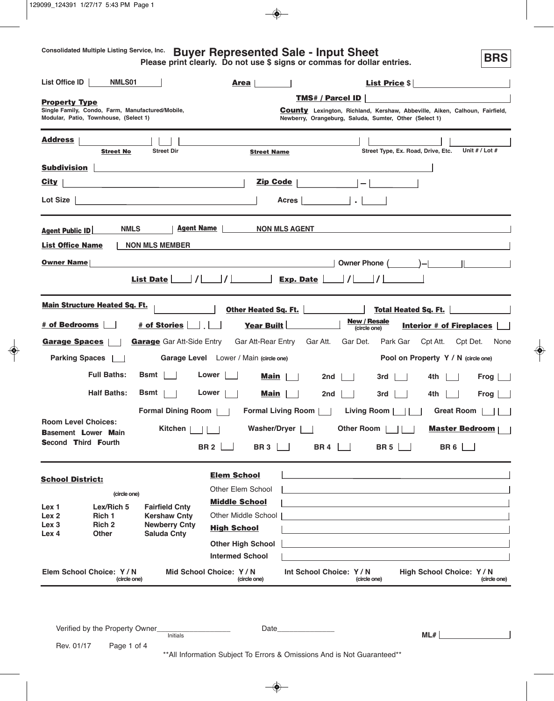**Consolidated Multiple Listing Service, Inc.**

# **Buyer Represented Sale - Input Sheet**

**BRS**

**Please print clearly. Do not use \$ signs or commas for dollar entries.**

| List Office ID                                           | <b>NMLS01</b>                                                                             |                                                               | Area                                           |                                                                                                                                                                        | List Price $\frac{1}{2}$                                                                                              |                                   |
|----------------------------------------------------------|-------------------------------------------------------------------------------------------|---------------------------------------------------------------|------------------------------------------------|------------------------------------------------------------------------------------------------------------------------------------------------------------------------|-----------------------------------------------------------------------------------------------------------------------|-----------------------------------|
| <b>Property Type</b>                                     | Single Family, Condo, Farm, Manufactured/Mobile,<br>Modular, Patio, Townhouse, (Select 1) |                                                               |                                                | <b>TMS# / Parcel ID</b><br><b>County</b> Lexington, Richland, Kershaw, Abbeville, Aiken, Calhoun, Fairfield,<br>Newberry, Orangeburg, Saluda, Sumter, Other (Select 1) |                                                                                                                       |                                   |
| <u>Address</u>                                           | <b>Street No</b>                                                                          | <b>Street Dir</b>                                             | <b>Street Name</b>                             |                                                                                                                                                                        | Street Type, Ex. Road, Drive, Etc.                                                                                    | Unit # / Lot #                    |
| <b>Subdivision</b>                                       |                                                                                           |                                                               |                                                |                                                                                                                                                                        |                                                                                                                       |                                   |
| <b>City</b>                                              |                                                                                           |                                                               | Zip Code                                       | $\vert -\vert$                                                                                                                                                         |                                                                                                                       |                                   |
| Lot Size $ $                                             |                                                                                           | <u> 1989 - Johann John Stone, meil in der Stone (d. 1989)</u> |                                                | $\frac{1}{2}$ $\frac{1}{2}$ $\frac{1}{2}$ $\frac{1}{2}$ $\frac{1}{2}$ $\frac{1}{2}$<br>Acres                                                                           |                                                                                                                       |                                   |
| <b>Agent Public ID</b>                                   | <b>NMLS</b>                                                                               | <b>Agent Name</b>                                             |                                                | NON MLS AGENT                                                                                                                                                          | <u> 1989 - Andrea Andrew Maria (h. 1989).</u>                                                                         |                                   |
| <b>List Office Name</b>                                  |                                                                                           | <b>NON MLS MEMBER</b>                                         |                                                |                                                                                                                                                                        |                                                                                                                       |                                   |
| <b>Owner Name</b>                                        |                                                                                           |                                                               |                                                |                                                                                                                                                                        | Owner Phone ( )-                                                                                                      |                                   |
|                                                          | <b>Main Structure Heated Sq. Ft.</b>                                                      |                                                               |                                                | Other Heated Sq. Ft.                                                                                                                                                   | <b>Total Heated Sq. Ft.</b>                                                                                           |                                   |
| # of Bedrooms                                            |                                                                                           | # of Stories                                                  | Year Built                                     | <b>New / Resale</b>                                                                                                                                                    |                                                                                                                       |                                   |
|                                                          |                                                                                           |                                                               |                                                | (circle one)                                                                                                                                                           | <b>Interior # of Fireplaces</b>                                                                                       |                                   |
| <b>Garage Spaces</b>                                     |                                                                                           | <b>Garage</b> Gar Att-Side Entry                              | Gar Att-Rear Entry                             | Gar Att.<br>Gar Det.                                                                                                                                                   | Park Gar<br>Cpt Att.                                                                                                  | Cpt Det.<br>None                  |
| <b>Parking Spaces</b>                                    |                                                                                           |                                                               | <b>Garage Level</b> Lower / Main (circle one)  |                                                                                                                                                                        | Pool on Property Y / N (circle one)                                                                                   |                                   |
|                                                          | <b>Full Baths:</b>                                                                        | $Bsmt$                                                        | Lower<br><b>Main</b>                           | 2nd                                                                                                                                                                    | 4th<br>3rd                                                                                                            | Frog                              |
|                                                          | <b>Half Baths:</b>                                                                        | Bsmt                                                          | Lower<br>Main                                  | 2nd                                                                                                                                                                    | 3rd<br>4th                                                                                                            | Frog                              |
|                                                          |                                                                                           | <b>Formal Dining Room</b>                                     | Formal Living Room                             | Living Room                                                                                                                                                            | Great Room                                                                                                            |                                   |
| <b>Room Level Choices:</b><br><b>Basement Lower Main</b> |                                                                                           | Kitchen                                                       | <b>Washer/Dryer</b>                            | <b>Other Room</b>                                                                                                                                                      | <b>Master Bedroom</b>                                                                                                 |                                   |
| <b>Second Third Fourth</b>                               |                                                                                           |                                                               | BR 2 $\vert$<br><b>BR3</b>                     | <b>BR4</b>                                                                                                                                                             | <b>BR 5</b><br><b>BR6</b>                                                                                             |                                   |
| <b>School District:</b>                                  |                                                                                           |                                                               | <b>Elem School</b><br><b>Other Elem School</b> |                                                                                                                                                                        |                                                                                                                       |                                   |
|                                                          | (circle one)                                                                              |                                                               | <b>Middle School</b>                           |                                                                                                                                                                        |                                                                                                                       |                                   |
| Lex 1<br>Lex <sub>2</sub>                                | Lex/Rich 5<br>Rich 1                                                                      | <b>Fairfield Cnty</b><br><b>Kershaw Cnty</b>                  | Other Middle School                            |                                                                                                                                                                        | <u> 1980 - Johann Barn, mars ann an t-Amhainn an t-Amhainn an t-Amhainn an t-Amhainn an t-Amhainn an t-Amhainn an</u> |                                   |
| Lex <sub>3</sub><br>Lex 4                                | Rich <sub>2</sub><br>Other                                                                | <b>Newberry Cnty</b><br><b>Saluda Cnty</b>                    | <b>High School</b>                             |                                                                                                                                                                        | and the control of the control of the control of the control of the control of the control of the control of the      |                                   |
|                                                          |                                                                                           |                                                               | <b>Other High School</b>                       |                                                                                                                                                                        |                                                                                                                       |                                   |
|                                                          |                                                                                           |                                                               | <b>Intermed School</b>                         |                                                                                                                                                                        |                                                                                                                       |                                   |
|                                                          | Elem School Choice: Y/N<br>(circle one)                                                   |                                                               | Mid School Choice: Y/N<br>(circle one)         | Int School Choice: Y/N<br>(circle one)                                                                                                                                 | High School Choice: Y / N                                                                                             | (circle one)                      |
|                                                          |                                                                                           |                                                               |                                                |                                                                                                                                                                        |                                                                                                                       |                                   |
|                                                          | Verified by the Property Owner_                                                           | Initials                                                      |                                                | Date <b>Date</b>                                                                                                                                                       | ML#                                                                                                                   | <b>Contract Contract Contract</b> |
| Rev. 01/17                                               | Page 1 of 4                                                                               |                                                               |                                                | ** All Information Subject To Errors & Omissions And is Not Guaranteed**                                                                                               |                                                                                                                       |                                   |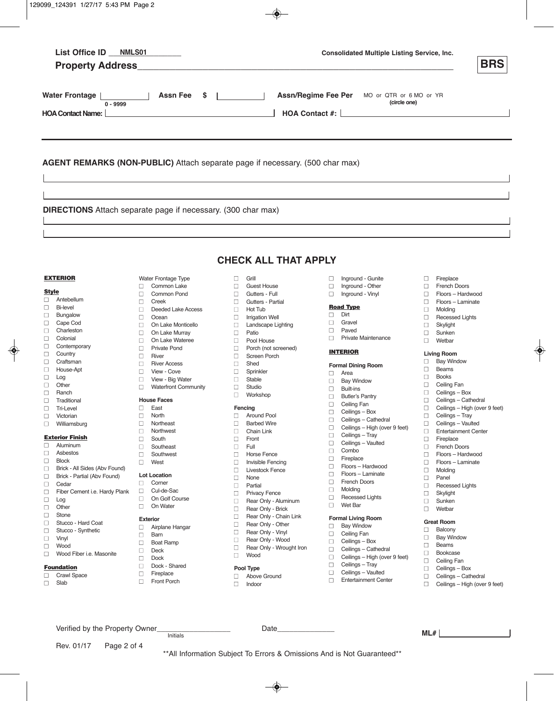|                   | List Office ID NMLS01                                                        |             |                               |                                |                                              |             | <b>Consolidated Multiple Listing Service, Inc.</b>          |        | <b>BRS</b>                                       |
|-------------------|------------------------------------------------------------------------------|-------------|-------------------------------|--------------------------------|----------------------------------------------|-------------|-------------------------------------------------------------|--------|--------------------------------------------------|
|                   | <b>Water Frontage</b><br>$0 - 9999$<br><b>HOA Contact Name:</b>              |             | <b>Assn Fee</b><br>\$         | and the company of the company | HOA Contact #: [                             |             | Assn/Regime Fee Per MO or QTR or 6 MO or YR<br>(circle one) |        |                                                  |
|                   | AGENT REMARKS (NON-PUBLIC) Attach separate page if necessary. (500 char max) |             |                               |                                |                                              |             |                                                             |        |                                                  |
|                   | <b>DIRECTIONS</b> Attach separate page if necessary. (300 char max)          |             |                               |                                |                                              |             |                                                             |        |                                                  |
|                   |                                                                              |             |                               |                                | <b>CHECK ALL THAT APPLY</b>                  |             |                                                             |        |                                                  |
|                   | <b>EXTERIOR</b>                                                              |             | Water Frontage Type           | $\Box$                         | Grill                                        | $\Box$      | Inground - Gunite                                           | □      | Fireplace                                        |
|                   |                                                                              | □           | Common Lake                   | $\Box$                         | <b>Guest House</b>                           | $\Box$      | Inground - Other                                            | $\Box$ | <b>French Doors</b>                              |
| <b>Style</b><br>□ | Antebellum                                                                   | □           | <b>Common Pond</b>            | $\Box$                         | Gutters - Full                               | $\Box$      | Inground - Vinyl                                            | □      | Floors - Hardwood                                |
| $\Box$            | <b>Bi-level</b>                                                              | $\Box$      | Creek                         | П                              | Gutters - Partial                            |             | <b>Road Type</b>                                            | $\Box$ | Floors - Laminate                                |
| $\Box$            | Bungalow                                                                     | $\Box$      | Deeded Lake Access<br>Ocean   | $\Box$                         | Hot Tub                                      | □           | Dirt                                                        | $\Box$ | Molding                                          |
| $\Box$            | Cape Cod                                                                     | □<br>□      | On Lake Monticello            | □<br>□                         | <b>Irrigation Well</b><br>Landscape Lighting | □           | Gravel                                                      | □<br>□ | <b>Recessed Lights</b><br>Skylight               |
| $\Box$            | Charleston                                                                   | $\Box$      | On Lake Murray                | $\Box$                         | Patio                                        | $\Box$      | Paved                                                       | □      | Sunken                                           |
| $\Box$            | Colonial                                                                     | П           | On Lake Wateree               | П                              | Pool House                                   | П           | <b>Private Maintenance</b>                                  | п      | Wetbar                                           |
| □                 | Contemporary                                                                 | $\Box$      | <b>Private Pond</b>           | $\Box$                         | Porch (not screened)                         |             |                                                             |        |                                                  |
| □                 | Country                                                                      | $\Box$      | River                         | $\Box$                         | Screen Porch                                 |             | <b>INTERIOR</b>                                             |        | <b>Living Room</b>                               |
| $\Box$            | Craftsman                                                                    | □           | <b>River Access</b>           | $\Box$                         | Shed                                         |             | <b>Formal Dining Room</b>                                   | □      | <b>Bay Window</b>                                |
| $\Box$            | House-Apt                                                                    | $\Box$      | View - Cove                   | □                              | Sprinkler                                    | □           | Area                                                        | □      | <b>Beams</b>                                     |
| $\Box$            | Log                                                                          | $\Box$      | View - Big Water              | $\Box$                         | Stable                                       | □           | <b>Bay Window</b>                                           | $\Box$ | <b>Books</b>                                     |
| □                 | Other                                                                        | п           | <b>Waterfront Community</b>   | □                              | Studio                                       | □           | <b>Built-ins</b>                                            | □      | Ceiling Fan                                      |
| $\Box$            | Ranch                                                                        |             |                               | □                              | Workshop                                     | $\Box$      | <b>Butler's Pantry</b>                                      | □      | Ceilings - Box                                   |
| □                 | Traditional                                                                  |             | <b>House Faces</b>            |                                |                                              | □           | Ceiling Fan                                                 | □      | Ceilings - Cathedral                             |
| ⊔                 | <b>Tri-Level</b>                                                             | □<br>□      | East<br>North                 |                                | Fencing<br>Around Pool                       | $\Box$      | Ceilings - Box                                              | □<br>□ | Ceilings - High (over 9 feet)<br>Ceilings - Tray |
| □                 | Victorian                                                                    | $\Box$      | Northeast                     | □<br>$\Box$                    | <b>Barbed Wire</b>                           | $\Box$      | Ceilings - Cathedral                                        | $\Box$ | Ceilings - Vaulted                               |
| $\Box$            | Williamsburg                                                                 | □           | Northwest                     | □                              | Chain Link                                   | □           | Ceilings - High (over 9 feet)                               | □      | <b>Entertainment Center</b>                      |
|                   | <b>Exterior Finish</b>                                                       | □           | South                         | □                              | Front                                        | □           | Ceilings - Tray                                             | □      | Fireplace                                        |
| □                 | Aluminum                                                                     | $\Box$      | Southeast                     | $\Box$                         | Full                                         | $\Box$      | Ceilings - Vaulted                                          | $\Box$ | <b>French Doors</b>                              |
| $\Box$            | Asbestos                                                                     | □           | Southwest                     | □                              | <b>Horse Fence</b>                           | $\Box$      | Combo                                                       | □      | Floors - Hardwood                                |
| $\Box$            | <b>Block</b>                                                                 | □           | West                          | □                              | Invisible Fencing                            | □<br>$\Box$ | Fireplace<br>Floors - Hardwood                              | □      | Floors - Laminate                                |
| $\Box$            | Brick - All Sides (Abv Found)                                                |             |                               | $\Box$                         | <b>Livestock Fence</b>                       | □           | Floors - Laminate                                           | $\Box$ | Molding                                          |
| □                 | Brick - Partial (Abv Found)                                                  |             | <b>Lot Location</b><br>Corner | □                              | None                                         | □           | French Doors                                                | □      | Panel                                            |
| □                 | Cedar                                                                        | □<br>$\Box$ | Cul-de-Sac                    | $\Box$                         | Partial                                      | $\Box$      | Molding                                                     | □      | <b>Recessed Lights</b>                           |
| □                 | Fiber Cement i.e. Hardy Plank                                                | □           | On Golf Course                | $\Box$                         | <b>Privacy Fence</b>                         | □           | <b>Recessed Lights</b>                                      | □      | Skylight                                         |
| □<br>$\Box$       | Log<br>Other                                                                 | □           | On Water                      | □                              | Rear Only - Aluminum                         | □           | Wet Bar                                                     | □      | Sunken                                           |
| $\Box$            | Stone                                                                        |             |                               | □                              | Rear Only - Brick                            |             |                                                             | □      | Wetbar                                           |
| □                 | Stucco - Hard Coat                                                           |             | <b>Exterior</b>               | $\Box$                         | Rear Only - Chain Link                       |             | <b>Formal Living Room</b>                                   |        | <b>Great Room</b>                                |
| $\Box$            | Stucco - Synthetic                                                           | □           | Airplane Hangar               | □<br>□                         | Rear Only - Other<br>Rear Only - Vinyl       | □           | <b>Bay Window</b>                                           | □      | Balcony                                          |
| □                 | Vinyl                                                                        | $\Box$      | Barn                          | $\Box$                         | Rear Only - Wood                             | $\Box$      | Ceiling Fan                                                 | □      | <b>Bay Window</b>                                |
| □                 | Wood                                                                         | □           | <b>Boat Ramp</b>              | □                              | Rear Only - Wrought Iron                     | $\Box$      | Ceilings - Box                                              | □      | Beams                                            |
| $\Box$            | Wood Fiber i.e. Masonite                                                     | □           | Deck                          | □                              | Wood                                         | $\Box$      | Ceilings - Cathedral                                        | □      | Bookcase                                         |
|                   |                                                                              | $\Box$      | Dock                          |                                |                                              | $\Box$      | Ceilings - High (over 9 feet)<br>Ceilings - Tray            | □      | Ceiling Fan                                      |
|                   | <b>Foundation</b>                                                            | □           | Dock - Shared                 |                                | Pool Type                                    | □<br>$\Box$ | Ceilings - Vaulted                                          | □      | Ceilings - Box                                   |
| $\Box$            | <b>Crawl Space</b>                                                           | $\Box$      | Fireplace                     | $\Box$                         | Above Ground                                 | $\Box$      |                                                             | $\Box$ | Ceilings - Cathedral                             |

 $\Box$  Slab

Verified by the Property Owner\_\_\_\_\_\_\_\_\_\_\_\_\_\_\_\_\_\_ Date\_\_\_\_\_\_\_\_\_\_\_\_\_\_

Initials **ML#**

□ Front Porch

Rev. 01/17 Page 2 of 4

- n Above Ground
- n Indoor
- **n Entertainment Center**
- □ Ceilings High (over 9 feet)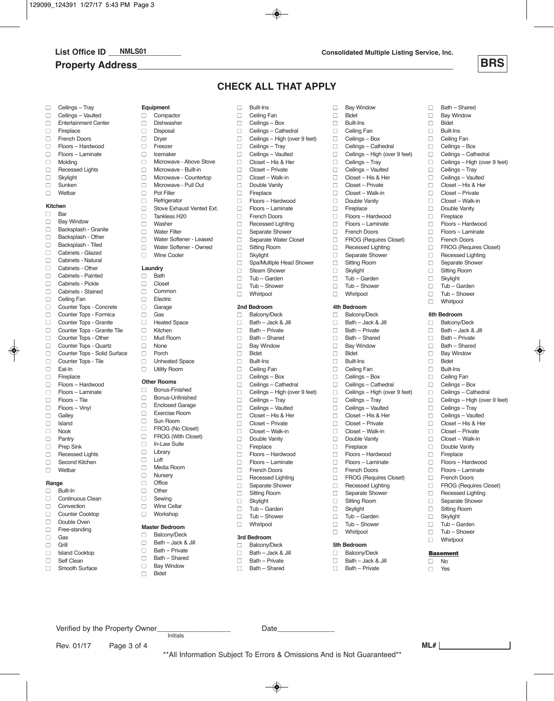# **Property Address\_\_\_\_\_\_\_\_\_\_\_\_\_\_\_\_\_\_\_\_\_\_\_\_\_\_\_\_\_\_\_\_\_\_\_\_\_\_\_\_\_\_\_\_\_\_\_\_\_\_\_\_\_\_\_\_\_\_**

□ Bay Window nBidet □ Built-Ins<br>□ Ceiling F □ Ceiling Fan<br>□ Ceilings – B nCeilings – Box □ Ceilings – Cathedral<br>□ Ceilings – High (over □ Ceilings – High (over 9 feet)<br>□ Ceilings – Tray

□ Ceilings – Tray<br>□ Ceilings – Vault □ Ceilings – Vaulted<br>□ Closet – His & He  $\Box$  Closet – His & Her  $\Box$  Closet – Private □ Closet – Walk-in<br>□ Double Vanity Double Vanity<br>
Fireplace □ Fireplace<br>□ Floors – h □ Floors – Hardwood<br>□ Floors – Laminate □ Floors – Laminate<br>□ French Doors **□** French Doors □ FROG (Requires Closet)<br>□ Recessed Lighting □ Recessed Lighting<br>□ Separate Shower Separate Shower □ Sitting Room<br>□ Skylight  $\Box$  Skylight □ Tub – Garden<br>□ Tub – Shower □ Tub – Shower<br>□ Whirlpool Whirlpool

**4th Bedroom** Balcony/Deck  $\Box$  Bath – Jack & Jill  $\Box$  Bath – Private Bath – Shared **n** Bay Window nBidet **Built-Ins** □ Ceiling Fan<br>□ Ceilings – B □ Ceilings – Box<br>□ Ceilings – Cath Ceilings – Cathedral □ Ceilings – High (over 9 feet)

□ Ceilings – Tray □ Ceilings – Vaulted<br>□ Closet – His & Her n Closet – His & Her □ Closet – Private □ Closet – Walk-in Double Vanity  $\Box$  Fireplace

nFloors – Hardwood nFloors – Laminate French Doors<br> **FROG** (Bequi

□ Recessed Lighting<br>□ Separate Shower □ Separate Shower<br>□ Sitting Room **Sitting Room** n Skylight  $\Box$  Tub – Garden nTub – Shower n Whirlpool **5th Bedroom** D Balcony/Deck  $\Box$  Bath – Jack & Jill<br> $\Box$  Bath – Private **Bath – Private** 

nFROG (Requires Closet)

**ML#**



 $\Box$  Bath – Shared **Bay Window** 

□ Ceilings – Tray<br>□ Ceilings – Vaul □ Ceilings – Vaulted<br>□ Closet – His & Her  $\Box$  Closet – His & Her Closet – Private □ Closet – Walk-in<br>□ Double Vanity □ Double Vanity<br>□ Fireplace  $\Box$  Fireplace<br> $\Box$  Floors – H □ Floors – Hardwood<br>□ Floors – Laminate nFloors – Laminate

□ French Doors<br>□ FROG (Requi □ FROG (Requires Closet)<br>□ Recessed Lighting nRecessed Lighting  $\Box$  Separate Shower □ Sitting Room<br>□ Skylight  $\Box$  Skylight<br> $\Box$  Tub – G □ Tub – Garden<br>□ Tub – Shower □ Tub – Shower<br>□ Whirlpool Whirlpool **6th Bedroom** □ Balcony/Deck □ Bath – Jack & Jill<br>□ Bath – Private Bath – Private  $\Box$  Bath – Shared □ Bay Window<br>□ Bidet nBidet □ Built-Ins<br>□ Ceiling I □ Ceiling Fan<br>□ Ceilings – B Ceilings – Box □ Ceilings – Cathedral □ Ceilings – High (over 9 feet)

□ Ceilings – Tray<br>□ Ceilings – Vaul Ceilings – Vaulted  $\Box$  Closet – His & Her n Closet – Private  $\Box$  Closet – Walk-in Double Vanity Fireplace nFloors – Hardwood □ Floors – Laminate<br>□ French Doors **French Doors** □ FROG (Requires Closet)<br>□ Recessed Lighting □ Recessed Lighting<br>□ Separate Shower Separate Shower nSitting Room  $\Box$  Skylight nTub – Garden nTub – Shower n Whirlpool **Basement**  $\Box$  No<br> $\Box$  Yes Yes

□ Bidet<br>□ Built-□ Built-Ins<br>□ Ceiling I **Ceiling Fan** □ Ceilings – Box<br>□ Ceilings – Cath □ Ceilings – Cathedral<br>□ Ceilings – High (over □ Ceilings – High (over 9 feet)<br>□ Ceilings – Trav

# **CHECK ALL THAT APPLY**

□ Spa/Multiple Head Shower<br>□ Steam Shower □ Steam Shower<br>□ Tub – Garden □ Tub – Garden<br>□ Tub – Shower □ Tub – Shower<br>□ Whirlpool Whirlpool

**2nd Bedroom** Balcony/Deck  $\Box$  Bath – Jack & Jill  $\Box$  Bath – Private Bath – Shared □ Bay Window □ Bidet<br>□ Built-I **Built-Ins** □ Ceiling Fan<br>□ Ceilings – E □ Ceilings – Box<br>□ Ceilings – Cath □ Ceilings – Cathedral<br>□ Ceilings – High (over nCeilings – High (over 9 feet)

□ Ceilings – Tray<br>□ Ceilings – Vaul □ Ceilings – Vaulted<br>□ Closet – His & Her n Closet – His & Her  $\Box$  Closet – Private Closet – Walk-in Double Vanity<br>
Fireplace  $\Box$  Fireplace<br> $\Box$  Floors – H

**3rd Bedroom** Balconv/Deck  $\Box$  Bath – Jack & Jill  $\Box$  Bath – Private n Bath – Shared

nFloors – Hardwood □ Floors – Laminate<br>□ French Doors □ French Doors<br>□ Recessed Lig nRecessed Lighting  $\Box$  Separate Shower<br> $\Box$  Sitting Room □ Sitting Room<br>□ Skylight Skylight nTub – Garden □ Tub – Shower<br>□ Whirlpool Whirlpool

□ Built-Ins<br>□ Ceiling R □ Ceiling Fan<br>□ Ceilings – E □ Ceilings – Box<br>□ Ceilings – Cath □ Ceilings – Cathedral<br>□ Ceilings – High (over nCeilings – High (over 9 feet)

□ Ceilings – Tray<br>□ Ceilings – Vaul □ Ceilings – Vaulted<br>□ Closet – His & He  $\Box$  Closet – His & Her □ Closet – Private<br>□ Closet – Walk-in □ Closet – Walk-in<br>□ Double Vanity  $\Box$  Double Vanity<br> $\Box$  Fireplace  $\Box$  Fireplace<br> $\Box$  Floors – H □ Floors – Hardwood<br>□ Floors – Laminate □ Floors – Laminate<br>□ French Doors □ French Doors<br>□ Recessed Lig □ Recessed Lighting<br>□ Separate Shower □ Separate Shower<br>□ Separate Water C  $\Box$  Separate Water Closet<br> $\Box$  Sitting Room □ Sitting Room<br>□ Skylight  $\Box$  Skylight<br> $\Box$  Sna/Mul

\*\*All Information Subject To Errors & Omissions And is Not Guaranteed\*\*

# □ Ceilings – Tray<br>□ Ceilings – Vaul

- □ Ceilings Vaulted<br>□ Fntertainment Cei
- $\Box$  Entertainment Center<br> $\Box$  Fireplace
- □ Fireplace<br>□ French D
- **French Doors**
- □ Floors Hardwood<br>□ Floors Laminate
- □ Floors Laminate
- □ Molding<br>□ Recesse
- □ Recessed Lights<br>□ Skylight  $\Box$  Skylight
- 
- $\Box$  Sunken Wethar

#### **Kitchen**

- $\Box$  Bar<br> $\Box$  Bay
- □ Bay Window<br>□ Backsplash -Backsplash - Granite
- 
- □ Backsplash Other<br>□ Backsplash Tiled
- □ Backsplash Tiled<br>□ Cabinets Glazed □ Cabinets - Glazed<br>□ Cabinets - Natural
- □ Cabinets Natural<br>□ Cabinets Other
- nCabinets Other
- □ Cabinets Painted<br>□ Cabinets Pickle
- □ Cabinets Pickle<br>□ Cabinets Staine
- □ Cabinets Stained<br>□ Ceiling Fan
- □ Ceiling Fan<br>□ Counter Top
- □ Counter Tops Concrete<br>□ Counter Tops Formica nCounter Tops - Formica
- **n** Counter Tops Granite
- 
- □ Counter Tops Granite Tile<br>□ Counter Tops Other nCounter Tops - Other
- **n** Counter Tops Quartz
- □ Counter Tops Solid Surface<br>□ Counter Tops Tile
- nCounter Tops Tile
- □ Eat-In<br>□ Firepla
- $\Box$  Fireplace
- Floors Hardwood
- nFloors Laminate
- □ Floors Tile<br>□ Floors Vin
- □ Floors Vinyl<br>□ Galley Galley
- n Island
- $\n **N**$ ook
- nPantry
- 
- □ Prep Sink<br>□ Recessed **Recessed Lights**
- □ Second Kitchen<br>□ Wetbar
- nWetbar

### **Range**

- n Built-In
- □ Continuous Clean<br>□ Convection
- □ Convection<br>□ Counter Co
- Counter Cooktop n Double Oven
- □ Free-standing
- 
- □ Gas<br>□ Grill Grill
- □ Island Cooktop
- □ Self Clean<br>□ Smooth Su
- Smooth Surface

Rev. 01/17 Page 3 of 4

- **Equipment** n Compactor
- □ Dishwasher<br>□ Disposal
- □ Disposal<br>□ Drver
- Dryer
- □ Freezer<br>□ Icemak **Icemaker**
- 
- □ Microwave Above Stove<br>□ Microwave Built-in
- □ Microwave Built-in<br>□ Microwave Counte Microwave - Countertop
- $\Box$  Microwave Pull Out
- Pot Filler
- □ Refrigerator<br>□ Stove Exha
- $\Box$  Stove Exhaust Vented Ext.<br> $\Box$  Tankless H20
- □ Tankless H20<br>□ Washer Washer
- **n** Water Filter
- 
- □ Water Softener Leased<br>□ Water Softener Owned Water Softener - Owned
- □ Wine Cooler

# **Laundry**<br> **Rath**

- $\Box$  Bath
- Closet
- □ Common<br>□ Electric
- nElectric
- □ Garage
- nGas
- **n** Heated Space
- □ Kitchen<br>□ Mud Ro Mud Room
- 
- $\Box$  None
- □ Porch<br>□ Unhea
- **Unheated Space n** Utility Room

#### **Other Rooms**

- **n** Bonus-Finished
- □ Bonus-Unfinished<br>□ Enclosed Garage
	- Enclosed Garage
- nExercise Room
- □ Sun Room<br>□ FROG (No
	- FROG (No Closet)
- **n FROG** (With Closet)
- □ In-Law Suite<br>□ Librarv Library
- nLoft

 $\Box$  Office nOther □ Sewing<br>□ Wine C nWine Cellar nWorkshop **Master Bedroom**  $\Box$  Balcony/Deck<br>  $\Box$  Bath – Jack & Bath – Jack & Jill n Bath – Private  $\Box$  Bath – Shared **n** Bay Window nBidet

□ Media Room<br>□ Nursery nNursery

Verified by the Property Owner\_\_\_\_\_\_\_\_\_\_\_\_\_\_\_\_\_\_ Date\_\_\_\_\_\_\_\_\_\_\_\_\_\_

Initials